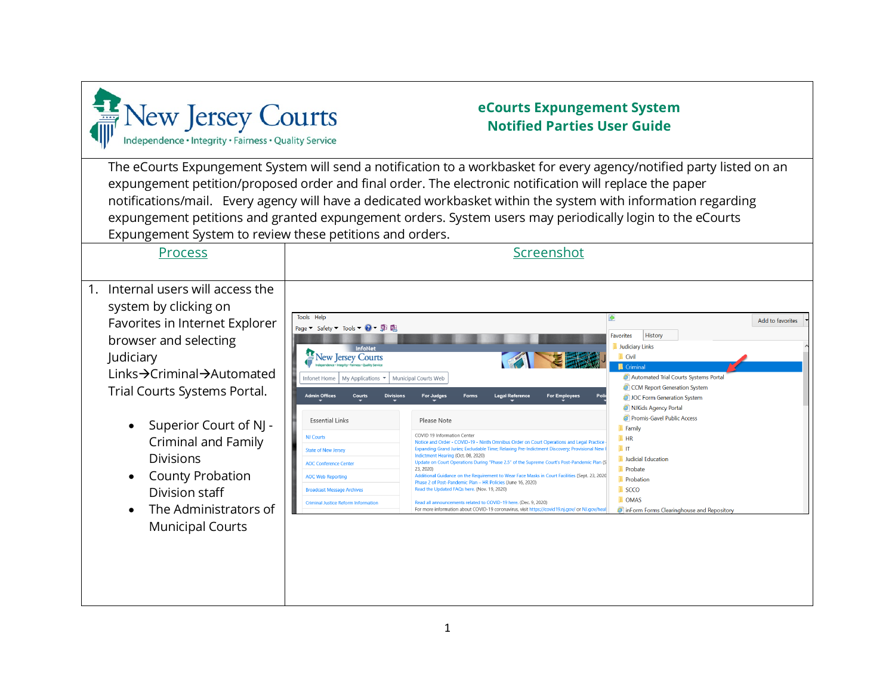

## **eCourts Expungement System Notified Parties User Guide**

The eCourts Expungement System will send a notification to a workbasket for every agency/notified party listed on an expungement petition/proposed order and final order. The electronic notification will replace the paper notifications/mail. Every agency will have a dedicated workbasket within the system with information regarding expungement petitions and granted expungement orders. System users may periodically login to the eCourts Expungement System to review these petitions and orders.

ׇ֖֖֖֖֚֚֚֚֚֬

| <b>Process</b>                                                                                                                                                                                                | Screenshot                                                                                                                                                                                                                                                                                                                                                                                                                                                                                                                                                                                                                                                                                                                                                                                                                                                                                                                                                                                              |                                                                                                                                                                                                                                                       |                  |
|---------------------------------------------------------------------------------------------------------------------------------------------------------------------------------------------------------------|---------------------------------------------------------------------------------------------------------------------------------------------------------------------------------------------------------------------------------------------------------------------------------------------------------------------------------------------------------------------------------------------------------------------------------------------------------------------------------------------------------------------------------------------------------------------------------------------------------------------------------------------------------------------------------------------------------------------------------------------------------------------------------------------------------------------------------------------------------------------------------------------------------------------------------------------------------------------------------------------------------|-------------------------------------------------------------------------------------------------------------------------------------------------------------------------------------------------------------------------------------------------------|------------------|
| Internal users will access the<br>1 <sub>1</sub><br>system by clicking on<br>Favorites in Internet Explorer<br>browser and selecting<br>Judiciary<br>Links→Criminal→Automated<br>Trial Courts Systems Portal. | Tools Help<br>Page $\blacktriangledown$ Safety $\blacktriangledown$ Tools $\blacktriangledown$ $\bigodot$ $\blacktriangledown$ $\bigoplus$ $\blacksquare$<br><b>InfoNet</b><br>New Jersey Courts<br><b>EFRIS</b><br>Municipal Courts Web<br>Infonet Home   My Applications ▼<br><b>For Employees</b><br><b>Admin Offices</b><br><b>Divisions</b><br><b>For Judges</b><br><b>Legal Reference</b><br>Courts<br>Poli<br><b>Forms</b>                                                                                                                                                                                                                                                                                                                                                                                                                                                                                                                                                                       | I÷.<br>History<br><b>Favorites</b><br>Judiciary Links<br><b>Civil</b><br><b>Criminal</b><br>Automated Trial Courts Systems Portal<br>CCM Report Generation System<br>JOC Form Generation System                                                       | Add to favorites |
| Superior Court of NJ -<br>Criminal and Family<br><b>Divisions</b><br>County Probation<br>Division staff<br>The Administrators of<br><b>Municipal Courts</b>                                                   | <b>Essential Links</b><br>Please Note<br>COVID 19 Information Center<br><b>NJ Courts</b><br>Notice and Order - COVID-19 - Ninth Omnibus Order on Court Operations and Legal Practice<br>Expanding Grand Juries; Excludable Time; Relaxing Pre-Indictment Discovery; Provisional New I<br><b>State of New Jersey</b><br>Indictment Hearing (Oct. 08, 2020)<br>Update on Court Operations During "Phase 2.5" of the Supreme Court's Post-Pandemic Plan (S<br><b>AOC Conference Center</b><br>23, 2020)<br>Additional Guidance on the Requirement to Wear Face Masks in Court Facilities (Sept. 23, 2020)<br><b>AOC Web Reporting</b><br>Phase 2 of Post-Pandemic Plan - HR Policies (June 16, 2020)<br>Read the Updated FAQs here. (Nov. 19, 2020)<br><b>Broadcast Message Archives</b><br>Read all announcements related to COVID-19 here. (Dec. 9, 2020)<br><b>Criminal Justice Reform Information</b><br>For more information about COVID-19 coronavirus, visit https://covid19.nj.gov/ or NJ.gov/heal | NJKids Agency Portal<br>Promis-Gavel Public Access<br>Family<br>$\blacksquare$ HR<br>$\top$ IT<br><b>Judicial Education</b><br><b>Probate</b><br><b>Probation</b><br>$\blacksquare$ SCCO<br><b>DOMAS</b><br>inForm Forms Clearinghouse and Repository |                  |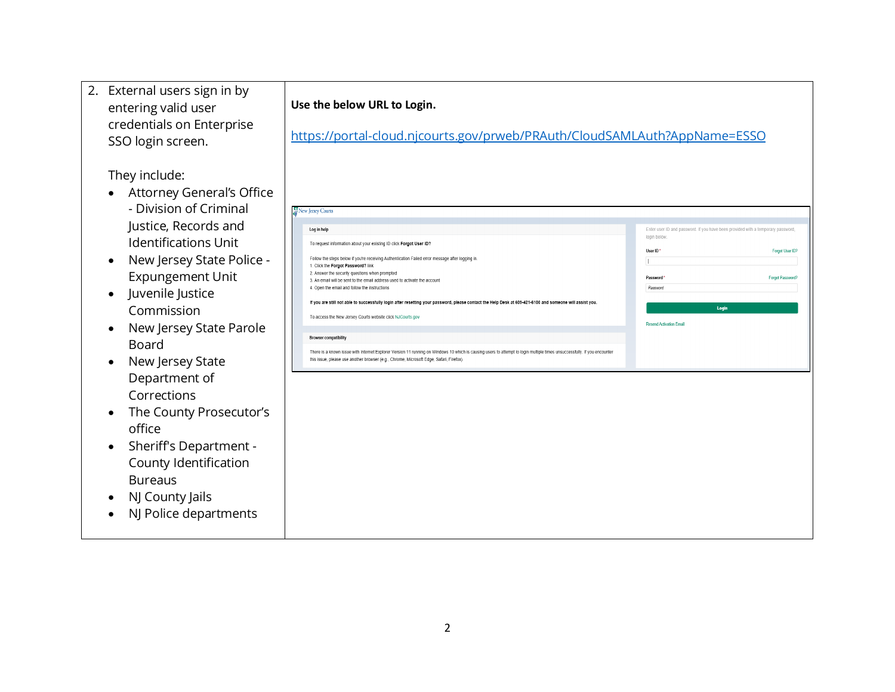| 2. External users sign in by<br>entering valid user<br>credentials on Enterprise<br>SSO login screen.                                                                                                                                                                                                                                                                                                                                                                                                       | Use the below URL to Login.<br>https://portal-cloud.njcourts.gov/prweb/PRAuth/CloudSAMLAuth?AppName=ESSO                                                                                                                                                                                                                                                                                                                                                                                                                                                                                                                                                                                                                                                                                                                                                                                                                                                           |                                                                                                                                                                                                                           |
|-------------------------------------------------------------------------------------------------------------------------------------------------------------------------------------------------------------------------------------------------------------------------------------------------------------------------------------------------------------------------------------------------------------------------------------------------------------------------------------------------------------|--------------------------------------------------------------------------------------------------------------------------------------------------------------------------------------------------------------------------------------------------------------------------------------------------------------------------------------------------------------------------------------------------------------------------------------------------------------------------------------------------------------------------------------------------------------------------------------------------------------------------------------------------------------------------------------------------------------------------------------------------------------------------------------------------------------------------------------------------------------------------------------------------------------------------------------------------------------------|---------------------------------------------------------------------------------------------------------------------------------------------------------------------------------------------------------------------------|
| They include:<br><b>Attorney General's Office</b><br>- Division of Criminal<br>Justice, Records and<br><b>Identifications Unit</b><br>New Jersey State Police -<br><b>Expungement Unit</b><br>Juvenile Justice<br>$\bullet$<br>Commission<br>New Jersey State Parole<br><b>Board</b><br>New Jersey State<br>Department of<br>Corrections<br>The County Prosecutor's<br>office<br>Sheriff's Department -<br>County Identification<br><b>Bureaus</b><br>NJ County Jails<br>$\bullet$<br>NJ Police departments | New Jersey Courts<br>Log in help<br>To request information about your existing ID click Forgot User ID?<br>Follow the steps below if you're receiving Authentication Failed error message after logging in<br>1. Click the Forgot Password? link<br>2. Answer the security questions when prompted<br>3. An email will be sent to the email address used to activate the account<br>4. Open the email and follow the instructions<br>If you are still not able to successfully login after resetting your password, please contact the Help Desk at 609-421-6100 and someone will assist you.<br>To access the New Jersey Courts website click NJCourts.gov<br><b>Browser compatibility</b><br>There is a known issue with Internet Explorer Version 11 running on Windows 10 which is causing users to attempt to login multiple times unsuccessfully. If you encounter<br>this issue, please use another browser (e.g., Chrome, Microsoft Edge, Safari, Firefox) | Enter user ID and password. If you have been provided with a temporary password<br>login below<br>User ID<br>Forgot User ID?<br>Password<br><b>Forgot Password</b><br>Password<br>Login<br><b>Resend Activation Email</b> |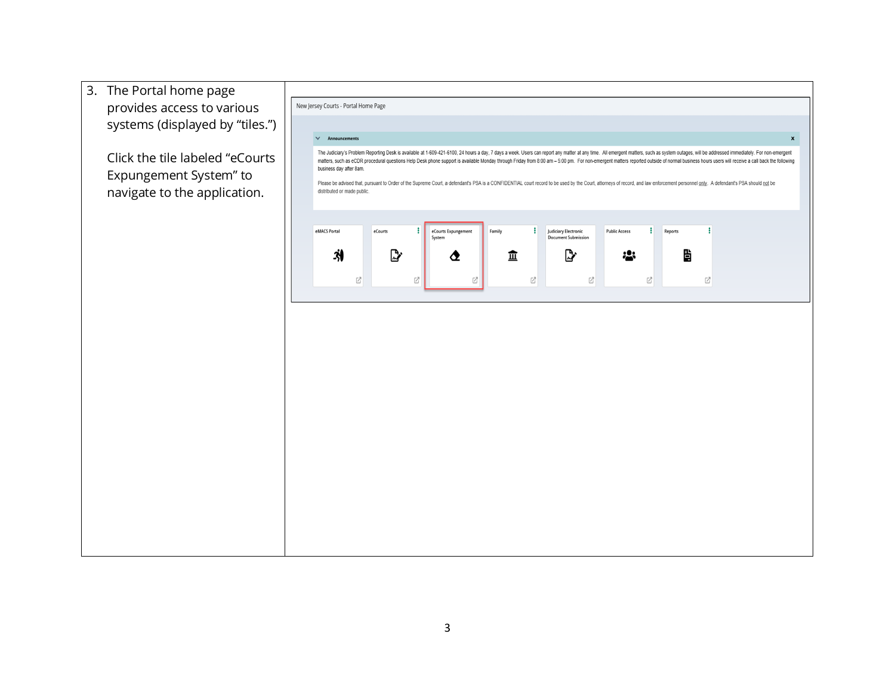3. The Portal home page provides access to various systems (displayed by "tiles.")

Click the tile labeled "eCourts Expungement System" to navigate to the application.

| business day after 8am. |                             |         |             |                     |        |                                                         |                      |   |         | The Judiciary's Problem Reporting Desk is available at 1-609-421-6100, 24 hours a day, 7 days a week. Users can report any matter at any time. All emergent matters, such as system outages, will be addressed immediately. Fo<br>matters, such as eCDR procedural questions Help Desk phone support is available Monday through Friday from 8:00 am - 5:00 pm. For non-emergent matters reported outside of normal business hours users will receive a call bac |
|-------------------------|-----------------------------|---------|-------------|---------------------|--------|---------------------------------------------------------|----------------------|---|---------|------------------------------------------------------------------------------------------------------------------------------------------------------------------------------------------------------------------------------------------------------------------------------------------------------------------------------------------------------------------------------------------------------------------------------------------------------------------|
|                         | distributed or made public. |         |             |                     |        |                                                         |                      |   |         | Please be advised that, pursuant to Order of the Supreme Court, a defendant's PSA is a CONFIDENTIAL court record to be used by the Court, attorneys of record, and law enforcement personnel only. A defendant's PSA should no                                                                                                                                                                                                                                   |
| eMACS Portal            |                             | eCourts | i<br>System | eCourts Expungement | Family | ÷<br>Judiciary Electronic<br><b>Document Submission</b> | <b>Public Access</b> | ł | Reports | ł                                                                                                                                                                                                                                                                                                                                                                                                                                                                |
| Ņ                       | Ø                           |         | Ø           | ◔<br>Ø              | ፹      | ⅅℊ<br>Ø                                                 | Ø                    | Ø | Ë<br>Ø  |                                                                                                                                                                                                                                                                                                                                                                                                                                                                  |
|                         |                             |         |             |                     |        |                                                         |                      |   |         |                                                                                                                                                                                                                                                                                                                                                                                                                                                                  |
|                         |                             |         |             |                     |        |                                                         |                      |   |         |                                                                                                                                                                                                                                                                                                                                                                                                                                                                  |
|                         |                             |         |             |                     |        |                                                         |                      |   |         |                                                                                                                                                                                                                                                                                                                                                                                                                                                                  |
|                         |                             |         |             |                     |        |                                                         |                      |   |         |                                                                                                                                                                                                                                                                                                                                                                                                                                                                  |
|                         |                             |         |             |                     |        |                                                         |                      |   |         |                                                                                                                                                                                                                                                                                                                                                                                                                                                                  |
|                         |                             |         |             |                     |        |                                                         |                      |   |         |                                                                                                                                                                                                                                                                                                                                                                                                                                                                  |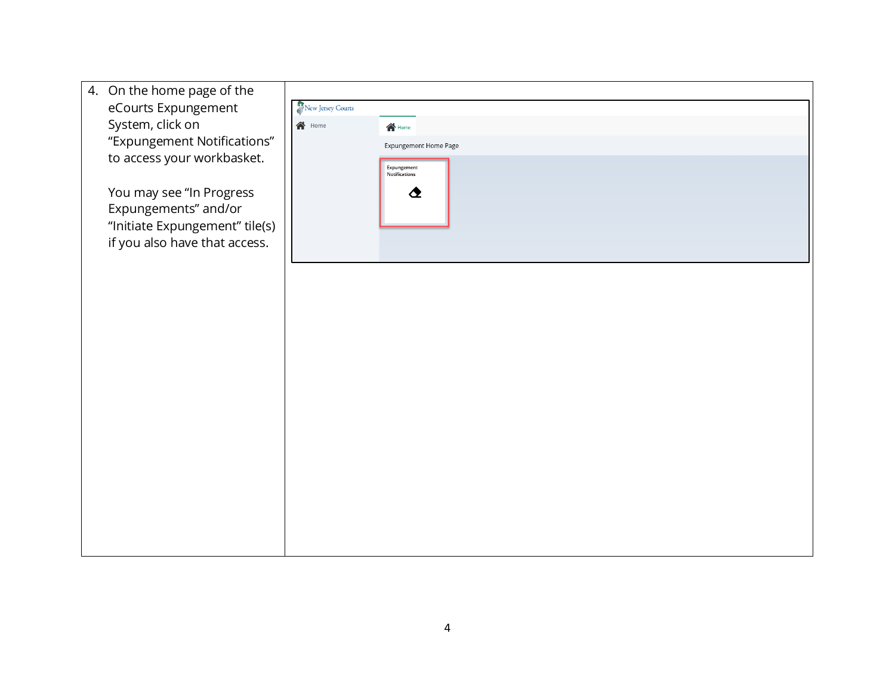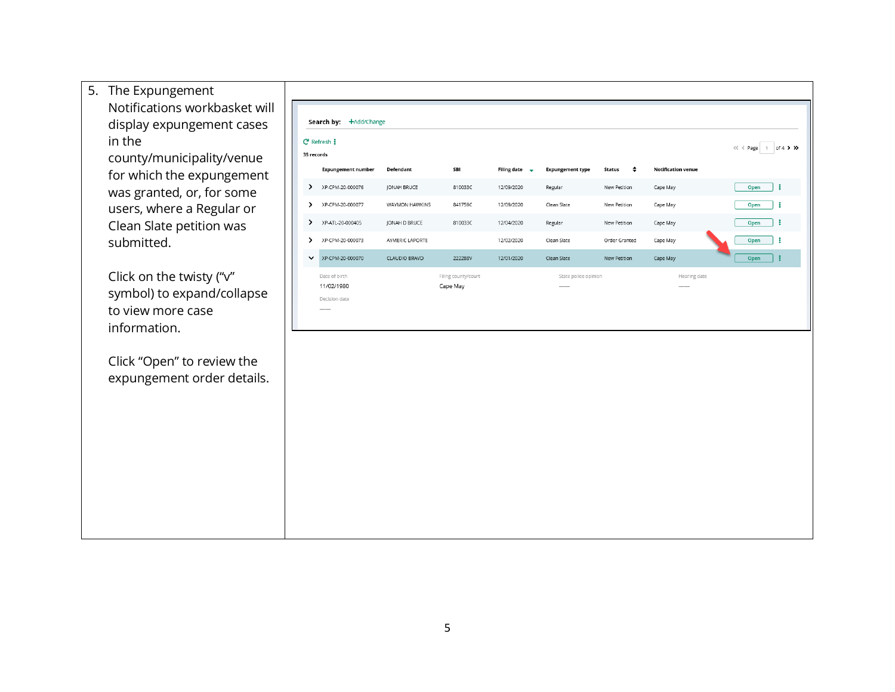5. The Expungement Notifications workbasket will Search by: +Add/Change display expungement cases in the  $C$  Refresh  $\ddagger$ « < Page 1 of 4 > >> county/municipality/venue 35 records SBI  $\bullet$ **Notification venue Expungement number** Defendant Filing date  $\rightarrow$ **Expungement type Status** for which the expungement Open  $\vdots$ XP-CPM-20-000076 JONAH BRUCE 810033C 12/09/2020 Regular New Petition Cape May was granted, or, for some Open | XP-CPM-20-000077 users, where a Regular or WAYMON HAWKINS 841759C 12/09/2020 Clean Slate New Petition Cape May Clean Slate petition was  $\rightarrow$ XP-ATL-20-000405 JONAH D BRUCE 810033C 12/04/2020 New Petition Cape May Open | Regular submitted. XP-CPM-20-000073 AYMERIC LAPORTE 12/02/2020 Clean Slate Order Granted Cape May Open :  $\rightarrow$ Open  $\vdots$ V XP-CPM-20-000070 CLAUDIO BRAVO 222288V 12/01/2020 Clean Slate New Petition Cape May Click on the twisty ("v" Date of birth Filing county/court State police opinion Hearing date 11/02/1980 Cape May symbol) to expand/collapse Decision date to view more case information. Click "Open" to review the expungement order details.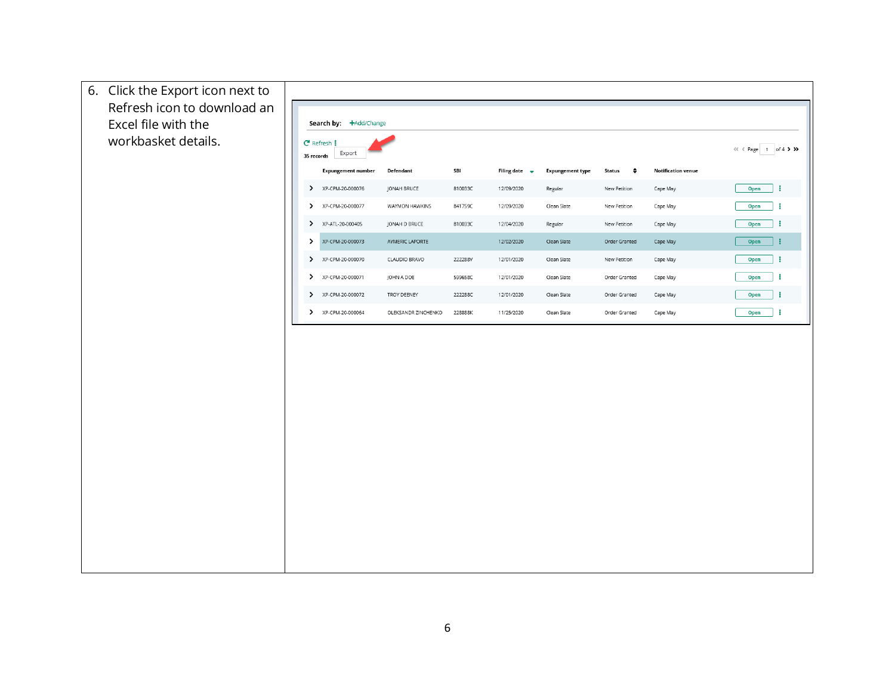| 6. Click the Export icon next to                   |               |                                                  |                     |         |                           |                         |                            |                           |           |
|----------------------------------------------------|---------------|--------------------------------------------------|---------------------|---------|---------------------------|-------------------------|----------------------------|---------------------------|-----------|
| Refresh icon to download an<br>Excel file with the |               | Search by: +Add/Change                           |                     |         |                           |                         |                            |                           |           |
| workbasket details.                                |               | $C$ Refresh $\mathbf{i}$<br>Export<br>35 records |                     |         |                           |                         |                            |                           |           |
|                                                    |               | <b>Expungement number</b>                        | Defendant           | SBI     | Filing date $\rightarrow$ | <b>Expungement type</b> | <b>Status</b><br>$\bullet$ | <b>Notification venue</b> |           |
|                                                    |               | XP-CPM-20-000076                                 | JONAH BRUCE         | 810033C | 12/09/2020                | Regular                 | New Petition               | Cape May                  | ÷<br>Open |
|                                                    |               | XP-CPM-20-000077                                 | WAYMON HAWKINS      | 841759C | 12/09/2020                | Clean Slate             | New Petition               | Cape May                  | ÷<br>Open |
|                                                    | $\rightarrow$ | XP-ATL-20-000405                                 | JONAH D BRUCE       | 810033C | 12/04/2020                | Regular                 | New Petition               | Cape May                  | ÷<br>Open |
|                                                    | $\rightarrow$ | XP-CPM-20-000073                                 | AYMERIC LAPORTE     |         | 12/02/2020                | Clean Slate             | Order Granted              | Cape May                  | B<br>Open |
|                                                    | $\rightarrow$ | XP-CPM-20-000070                                 | CLAUDIO BRAVO       | 222288V | 12/01/2020                | Clean Slate             | New Petition               | Cape May                  | ÷<br>Open |
|                                                    | ≻             | XP-CPM-20-000071                                 | JOHN A DOE          | 599658C | 12/01/2020                | Clean Slate             | Order Granted              | Cape May                  | ÷<br>Open |
|                                                    | $\rightarrow$ | XP-CPM-20-000072                                 | TROY DEENEY         | 222288C | 12/01/2020                | Clean Slate             | Order Granted              | Cape May                  | ÷<br>Open |
|                                                    |               | XP-CPM-20-000064                                 | OLEKSANDR ZINCHENKO | 228888K | 11/25/2020                | Clean Slate             | Order Granted              | Cape May                  | ÷<br>Open |
|                                                    |               |                                                  |                     |         |                           |                         |                            |                           |           |
|                                                    |               |                                                  |                     |         |                           |                         |                            |                           |           |
|                                                    |               |                                                  |                     |         |                           |                         |                            |                           |           |
|                                                    |               |                                                  |                     |         |                           |                         |                            |                           |           |
|                                                    |               |                                                  |                     |         |                           |                         |                            |                           |           |
|                                                    |               |                                                  |                     |         |                           |                         |                            |                           |           |
|                                                    |               |                                                  |                     |         |                           |                         |                            |                           |           |
|                                                    |               |                                                  |                     |         |                           |                         |                            |                           |           |
|                                                    |               |                                                  |                     |         |                           |                         |                            |                           |           |
|                                                    |               |                                                  |                     |         |                           |                         |                            |                           |           |
|                                                    |               |                                                  |                     |         |                           |                         |                            |                           |           |
|                                                    |               |                                                  |                     |         |                           |                         |                            |                           |           |
|                                                    |               |                                                  |                     |         |                           |                         |                            |                           |           |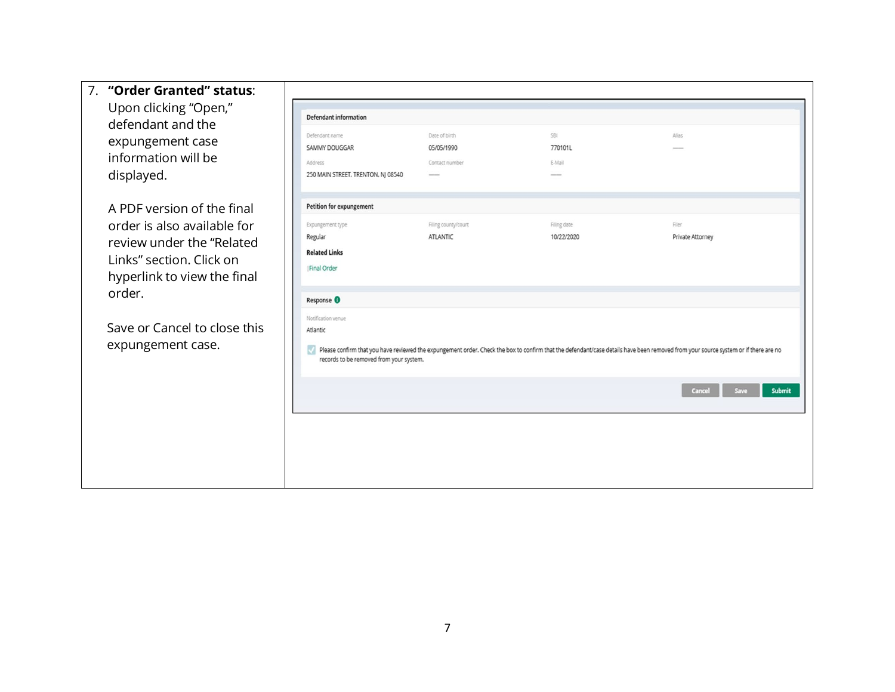| 7. "Order Granted" status:<br>Upon clicking "Open,"<br>defendant and the<br>expungement case<br>information will be<br>displayed.                                                                                | Defendant information<br>Defendant name<br>SAMMY DOUGGAR<br>Address<br>250 MAIN STREET, TRENTON, NJ 08540 | Date of birth<br>05/05/1990<br>Contact number<br>$\frac{1}{2} \left( \frac{1}{2} \right) \left( \frac{1}{2} \right) \left( \frac{1}{2} \right) \left( \frac{1}{2} \right)$ | SBI<br>770101L<br>E-Mail  | Alias                                                                                                                                                                                                                 |
|------------------------------------------------------------------------------------------------------------------------------------------------------------------------------------------------------------------|-----------------------------------------------------------------------------------------------------------|----------------------------------------------------------------------------------------------------------------------------------------------------------------------------|---------------------------|-----------------------------------------------------------------------------------------------------------------------------------------------------------------------------------------------------------------------|
| A PDF version of the final<br>order is also available for<br>review under the "Related<br>Links" section. Click on<br>hyperlink to view the final<br>order.<br>Save or Cancel to close this<br>expungement case. | Petition for expungement<br>Expungement type<br>Regular<br><b>Related Links</b><br>Final Order            | Filing county/court<br><b>ATLANTIC</b>                                                                                                                                     | Filing date<br>10/22/2020 | Filer<br>Private Attorney                                                                                                                                                                                             |
|                                                                                                                                                                                                                  | Response <sup>O</sup><br>Notification venue<br>Atlantic<br>records to be removed from your system.        |                                                                                                                                                                            |                           | Please confirm that you have reviewed the expungement order. Check the box to confirm that the defendant/case details have been removed from your source system or if there are no<br>Cancel<br><b>Submit</b><br>Save |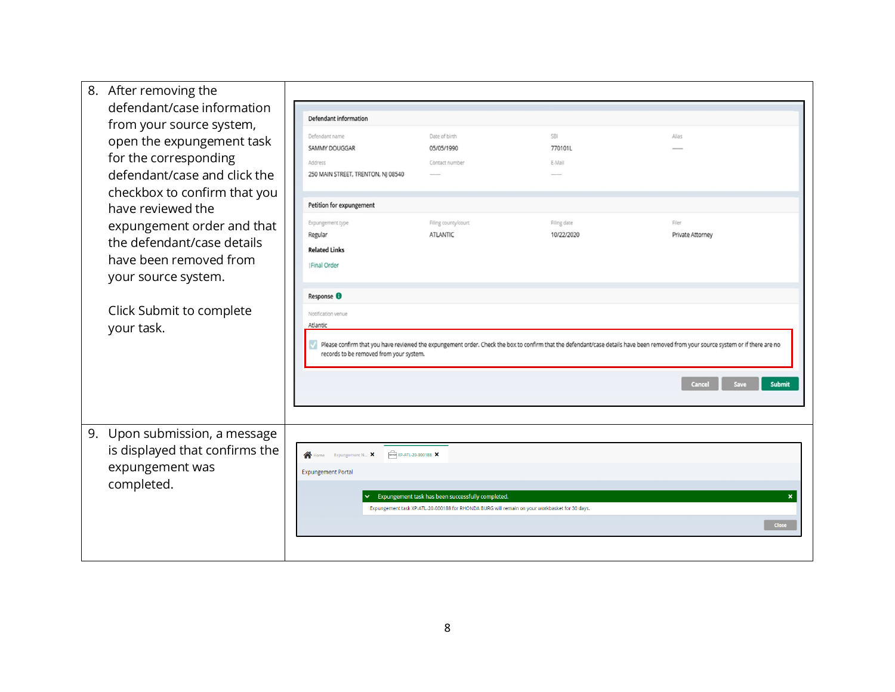| 8. After removing the<br>defendant/case information<br>from your source system,<br>open the expungement task<br>for the corresponding<br>defendant/case and click the | Defendant information<br>Defendant name<br>SAMMY DOUGGAR<br>Address<br>250 MAIN STREET, TRENTON, NJ 08540 | Date of birth<br>05/05/1990<br>Contact number                                                                                                      | <b>SBI</b><br>770101L<br>E-Mail | Alias                                                                                                                                                                                                                 |
|-----------------------------------------------------------------------------------------------------------------------------------------------------------------------|-----------------------------------------------------------------------------------------------------------|----------------------------------------------------------------------------------------------------------------------------------------------------|---------------------------------|-----------------------------------------------------------------------------------------------------------------------------------------------------------------------------------------------------------------------|
| checkbox to confirm that you<br>have reviewed the<br>expungement order and that<br>the defendant/case details<br>have been removed from<br>your source system.        | Petition for expungement                                                                                  |                                                                                                                                                    |                                 |                                                                                                                                                                                                                       |
|                                                                                                                                                                       | Expungement type<br>Regular<br><b>Related Links</b><br><b>Final Order</b>                                 | Filing county/court<br><b>ATLANTIC</b>                                                                                                             | Filing date<br>10/22/2020       | Filer<br>Private Attorney                                                                                                                                                                                             |
| Click Submit to complete<br>your task.                                                                                                                                | Response <sup>O</sup><br>Notification venue<br>Atlantic<br>records to be removed from your system.        |                                                                                                                                                    |                                 | Please confirm that you have reviewed the expungement order. Check the box to confirm that the defendant/case details have been removed from your source system or if there are no<br>Cancel<br><b>Submit</b><br>Save |
| Upon submission, a message<br>9.<br>is displayed that confirms the<br>expungement was<br>completed.                                                                   | $\sqrt{2}$ XP-ATL-20-000188 $\times$<br>Home Expungement N X<br><b>Expungement Portal</b>                 | Expungement task has been successfully completed.<br>Expungement task XP-ATL-20-000188 for RHONDA BURG will remain on your workbasket for 30 days. |                                 | ×<br>Close                                                                                                                                                                                                            |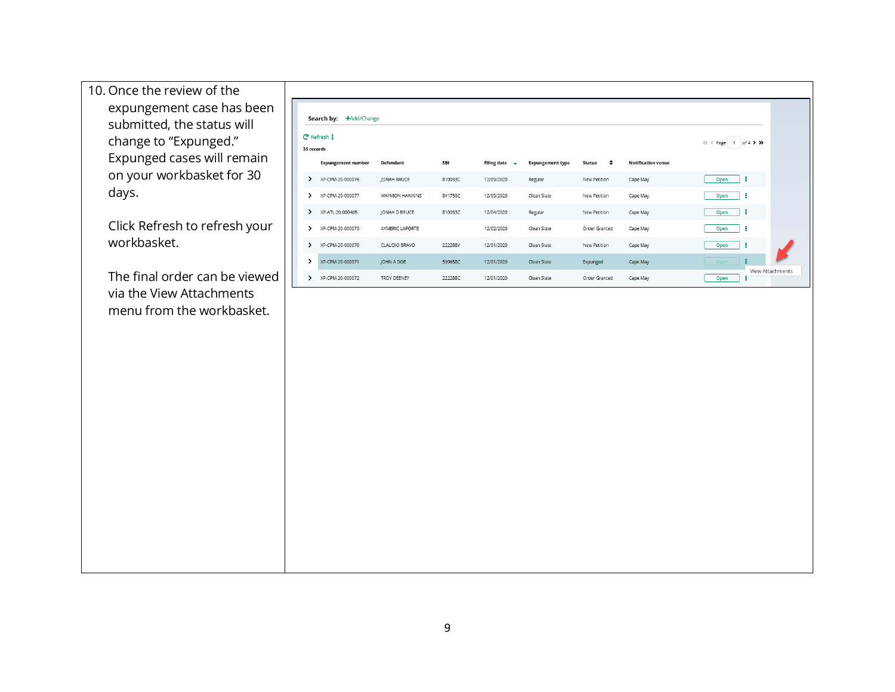10. Once the review of the expungement case has been submitted, the status will change to "Expunged." Expunged cases will remain on your workbasket for 30 days.

Click Refresh to refresh your workbasket.

The final order can be viewed via the View Attachments menu from the workbasket.

|                                                    | +Add/Change<br>Search by:<br>$C$ Refresh $\ddagger$ |                    |         |                           |                         |                    |                           |           |                  |  |  |
|----------------------------------------------------|-----------------------------------------------------|--------------------|---------|---------------------------|-------------------------|--------------------|---------------------------|-----------|------------------|--|--|
| of $4$ $>$ $>$<br>$<<$ $<$ Page<br>1<br>35 records |                                                     |                    |         |                           |                         |                    |                           |           |                  |  |  |
|                                                    | <b>Expungement number</b>                           | Defendant          | SBI     | Filing date $\rightarrow$ | <b>Expungement type</b> | ٠<br><b>Status</b> | <b>Notification venue</b> |           |                  |  |  |
| ゝ                                                  | XP-CPM-20-000076                                    | JONAH BRUCE        | 810033C | 12/09/2020                | Regular                 | New Petition       | Cape May                  | ÷<br>Open |                  |  |  |
| ↘                                                  | XP-CPM-20-000077                                    | WAYMON HAWKINS     | 841759C | 12/09/2020                | Clean Slate             | New Petition       | Cape May                  | Open      |                  |  |  |
| >                                                  | XP-ATL-20-000405                                    | JONAH D BRUCE      | 810033C | 12/04/2020                | Regular                 | New Petition       | Cape May                  | ÷<br>Open |                  |  |  |
| `                                                  | XP-CPM-20-000073                                    | AYMERIC LAPORTE    |         | 12/02/2020                | Clean Slate             | Order Granted      | Cape May                  | Open      |                  |  |  |
| ゝ                                                  | XP-CPM-20-000070                                    | CLAUDIO BRAVO      | 222288V | 12/01/2020                | Clean Slate             | New Petition       | Cape May                  | ÷<br>Open |                  |  |  |
| >                                                  | XP-CPM-20-000071                                    | JOHN A DOE         | 599658C | 12/01/2020                | Clean Slate             | Expunged           | Cape May                  | Open      |                  |  |  |
| ,                                                  | XP-CPM-20-000072                                    | <b>TROY DEENEY</b> | 222288C | 12/01/2020                | Clean Slate             | Order Granted      | Cape May                  | Open      | View Attachments |  |  |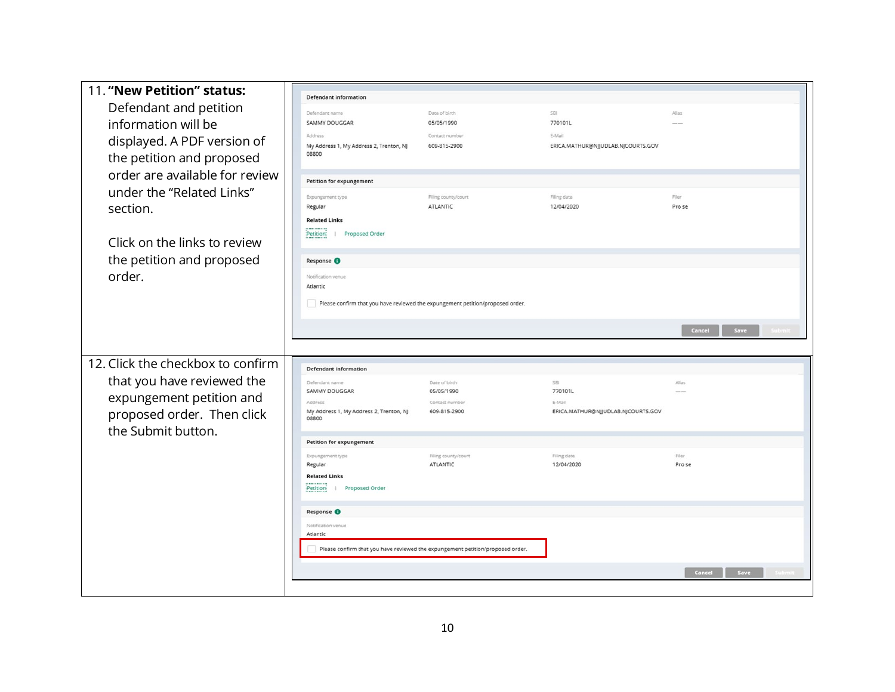| 11. "New Petition" status:        |                                                  |                                                                                |                                    |                 |
|-----------------------------------|--------------------------------------------------|--------------------------------------------------------------------------------|------------------------------------|-----------------|
| Defendant and petition            | <b>Defendant information</b>                     |                                                                                |                                    |                 |
| information will be               | Defendant name<br><b>SAMMY DOUGGAR</b>           | Date of birth<br>05/05/1990                                                    | SBI<br>770101L                     | Alias           |
|                                   | Address                                          | Contact number                                                                 | E-Mail                             |                 |
| displayed. A PDF version of       | My Address 1, My Address 2, Trenton, NJ          | 609-815-2900                                                                   | ERICA.MATHUR@NJJUDLAB.NJCOURTS.GOV |                 |
| the petition and proposed         | 08800                                            |                                                                                |                                    |                 |
| order are available for review    |                                                  |                                                                                |                                    |                 |
| under the "Related Links"         | Petition for expungement                         |                                                                                |                                    |                 |
| section.                          | Expungement type<br>Regular                      | Filing county/court<br>ATLANTIC                                                | Filing date<br>12/04/2020          | Filer<br>Pro se |
|                                   | <b>Related Links</b>                             |                                                                                |                                    |                 |
|                                   | Petition:<br>Proposed Order                      |                                                                                |                                    |                 |
| Click on the links to review      |                                                  |                                                                                |                                    |                 |
| the petition and proposed         | Response <sup>O</sup>                            |                                                                                |                                    |                 |
| order.                            | Notification venue                               |                                                                                |                                    |                 |
|                                   | Atlantic                                         |                                                                                |                                    |                 |
|                                   |                                                  | Please confirm that you have reviewed the expungement petition/proposed order. |                                    |                 |
|                                   |                                                  |                                                                                |                                    |                 |
|                                   |                                                  |                                                                                |                                    | Save<br>Cancel  |
|                                   |                                                  |                                                                                |                                    |                 |
|                                   |                                                  |                                                                                |                                    |                 |
|                                   |                                                  |                                                                                |                                    |                 |
| 12. Click the checkbox to confirm | <b>Defendant information</b>                     |                                                                                |                                    |                 |
| that you have reviewed the        | Defendant name<br><b>SAMMY DOUGGAR</b>           | Date of birth<br>05/05/1990                                                    | SBI<br>770101L                     | Alias           |
| expungement petition and          | Aridrace                                         | Contact number                                                                 | E-Mail                             |                 |
| proposed order. Then click        | My Address 1, My Address 2, Trenton, NJ<br>08800 | 609-815-2900                                                                   | ERICA.MATHUR@NJJUDLAB.NJCOURTS.GOV |                 |
| the Submit button.                |                                                  |                                                                                |                                    |                 |
|                                   | <b>Petition for expungement</b>                  |                                                                                |                                    |                 |
|                                   | Expungement type<br>Regular                      | Filing county/court<br>ATLANTIC                                                | Filing date<br>12/04/2020          | Filer<br>Pro se |
|                                   | <b>Related Links</b>                             |                                                                                |                                    |                 |
|                                   | Petition<br>Proposed Order<br>-                  |                                                                                |                                    |                 |
|                                   |                                                  |                                                                                |                                    |                 |
|                                   | Response O                                       |                                                                                |                                    |                 |
|                                   | Notification venue<br>Atlantic                   |                                                                                |                                    |                 |
|                                   |                                                  | Please confirm that you have reviewed the expungement petition/proposed order. |                                    |                 |
|                                   |                                                  |                                                                                |                                    |                 |
|                                   |                                                  |                                                                                |                                    | Cancel<br>Save  |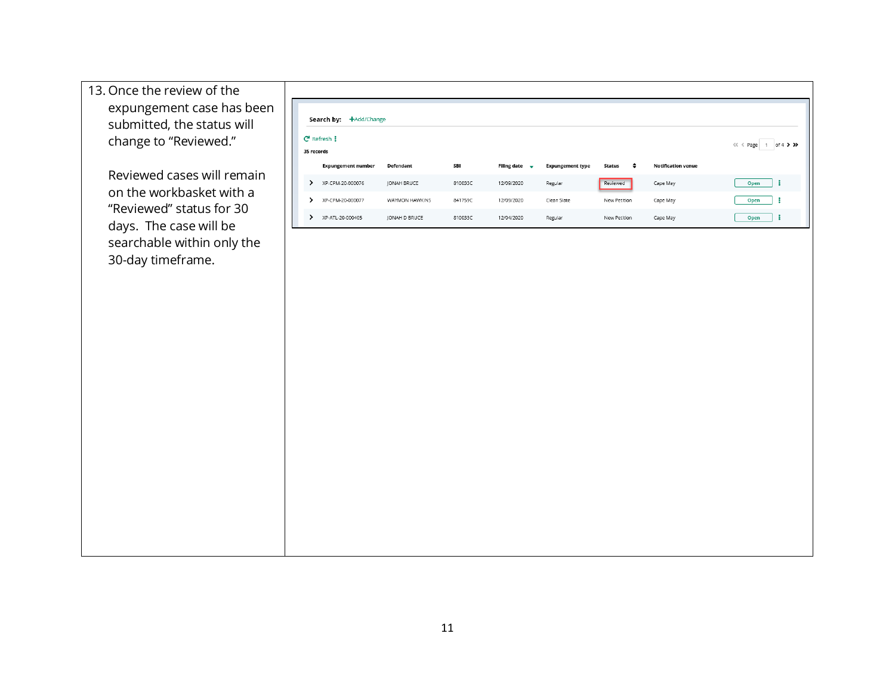| 13. Once the review of the |
|----------------------------|
| expungement case has been  |
| submitted, the status will |
| change to "Reviewed."      |

Reviewed cases will remain on the workbasket with a "Reviewed" status for 30 days. The case will be searchable within only the 30-day timeframe.

| +Add/Change<br>Search by:                |                    |         |                           |                         |              |                           |           |  |  |
|------------------------------------------|--------------------|---------|---------------------------|-------------------------|--------------|---------------------------|-----------|--|--|
| $C$ Refresh $\ddagger$<br>of $4$ $>$ $>$ |                    |         |                           |                         |              |                           |           |  |  |
| 35 records                               |                    |         |                           |                         |              |                           |           |  |  |
| <b>Expungement number</b>                | Defendant          | SBI     | Filing date $\rightarrow$ | <b>Expungement type</b> | ٠<br>Status  | <b>Notification venue</b> |           |  |  |
| XP-CPM-20-000076                         | <b>JONAH BRUCE</b> | 810033C | 12/09/2020                | Regular                 | Reviewed     | Cape May                  | Open<br>2 |  |  |
| XP-CPM-20-000077                         | WAYMON HAWKINS     | 841759C | 12/09/2020                | Clean Slate             | New Petition | Cape May                  | Open      |  |  |
| XP-ATL-20-000405                         | JONAH D BRUCE      | 810033C | 12/04/2020                | Regular                 | New Petition | Cape May                  | Open<br>- |  |  |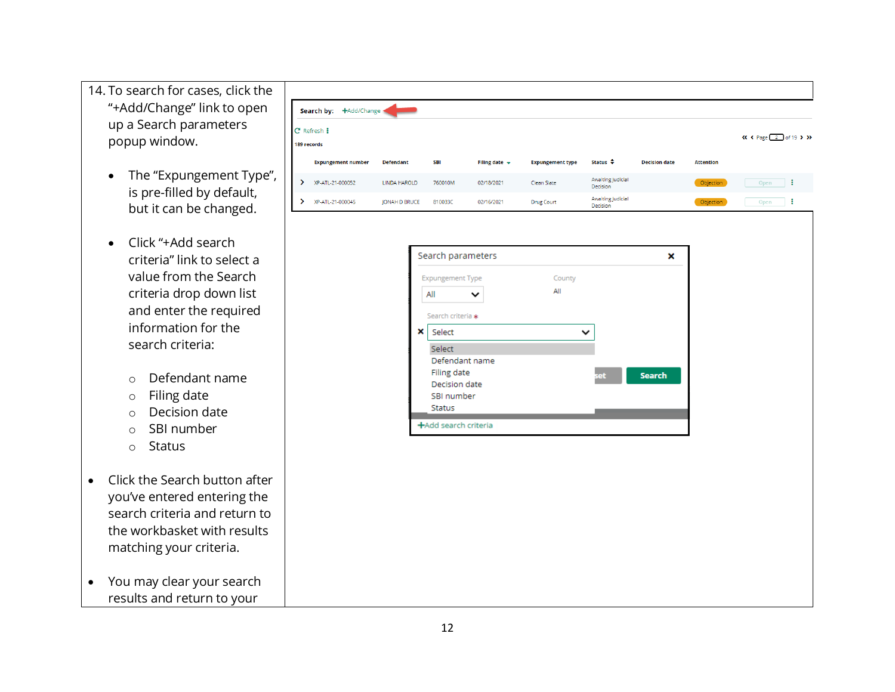- 14. To search for cases, click the "+Add/Change" link to open up a Search parameters popup window.
	- The "Expungement Type", is pre -filled by default , but it can be changed.
	- Click "+Add search criteria" link to select a value from the Search criteria drop down list and enter the required information for the search criteria:
		- o Defendant name
		- o Filing date
		- o Decision date
		- o SBI number
		- o Status
- Click the Search button after you've entered entering the search criteria and return to the workbasket with results matching your criteria.
- You may clear your search results and return to your



| <b>Expungement Type</b> | County       |                      |  |
|-------------------------|--------------|----------------------|--|
| All<br>$\check{ }$      | All          |                      |  |
| Search criteria *       |              |                      |  |
| ×<br>Select             | $\checkmark$ |                      |  |
| Select                  |              |                      |  |
| Defendant name          |              |                      |  |
| Filing date             |              | <b>Search</b><br>set |  |
| Decision date           |              |                      |  |
| SBI number              |              |                      |  |
| <b>Status</b>           |              |                      |  |